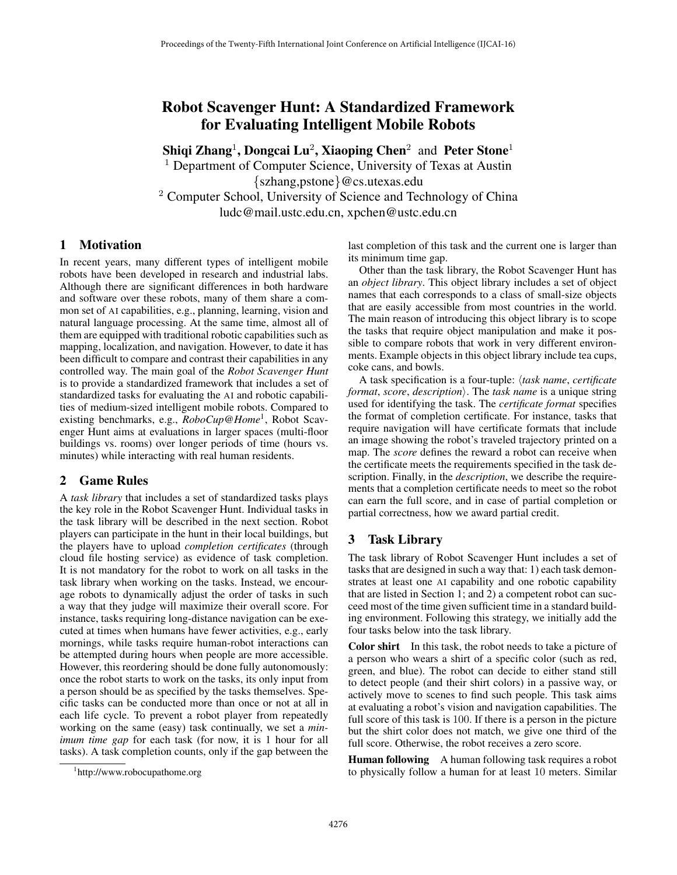# Robot Scavenger Hunt: A Standardized Framework for Evaluating Intelligent Mobile Robots

Shiqi Zhang<sup>1</sup>, Dongcai Lu<sup>2</sup>, Xiaoping Chen<sup>2</sup> and Peter Stone<sup>1</sup> <sup>1</sup> Department of Computer Science, University of Texas at Austin *{*szhang,pstone*}*@cs.utexas.edu <sup>2</sup> Computer School, University of Science and Technology of China ludc@mail.ustc.edu.cn, xpchen@ustc.edu.cn

#### 1 Motivation

In recent years, many different types of intelligent mobile robots have been developed in research and industrial labs. Although there are significant differences in both hardware and software over these robots, many of them share a common set of AI capabilities, e.g., planning, learning, vision and natural language processing. At the same time, almost all of them are equipped with traditional robotic capabilities such as mapping, localization, and navigation. However, to date it has been difficult to compare and contrast their capabilities in any controlled way. The main goal of the *Robot Scavenger Hunt* is to provide a standardized framework that includes a set of standardized tasks for evaluating the AI and robotic capabilities of medium-sized intelligent mobile robots. Compared to existing benchmarks, e.g., *RoboCup@Home*1, Robot Scavenger Hunt aims at evaluations in larger spaces (multi-floor buildings vs. rooms) over longer periods of time (hours vs. minutes) while interacting with real human residents.

## 2 Game Rules

A *task library* that includes a set of standardized tasks plays the key role in the Robot Scavenger Hunt. Individual tasks in the task library will be described in the next section. Robot players can participate in the hunt in their local buildings, but the players have to upload *completion certificates* (through cloud file hosting service) as evidence of task completion. It is not mandatory for the robot to work on all tasks in the task library when working on the tasks. Instead, we encourage robots to dynamically adjust the order of tasks in such a way that they judge will maximize their overall score. For instance, tasks requiring long-distance navigation can be executed at times when humans have fewer activities, e.g., early mornings, while tasks require human-robot interactions can be attempted during hours when people are more accessible. However, this reordering should be done fully autonomously: once the robot starts to work on the tasks, its only input from a person should be as specified by the tasks themselves. Specific tasks can be conducted more than once or not at all in each life cycle. To prevent a robot player from repeatedly working on the same (easy) task continually, we set a *minimum time gap* for each task (for now, it is 1 hour for all tasks). A task completion counts, only if the gap between the last completion of this task and the current one is larger than its minimum time gap.

Other than the task library, the Robot Scavenger Hunt has an *object library*. This object library includes a set of object names that each corresponds to a class of small-size objects that are easily accessible from most countries in the world. The main reason of introducing this object library is to scope the tasks that require object manipulation and make it possible to compare robots that work in very different environments. Example objects in this object library include tea cups, coke cans, and bowls.

A task specification is a four-tuple: h*task name*, *certificate format, score, description*). The *task name* is a unique string used for identifying the task. The *certificate format* specifies the format of completion certificate. For instance, tasks that require navigation will have certificate formats that include an image showing the robot's traveled trajectory printed on a map. The *score* defines the reward a robot can receive when the certificate meets the requirements specified in the task description. Finally, in the *description*, we describe the requirements that a completion certificate needs to meet so the robot can earn the full score, and in case of partial completion or partial correctness, how we award partial credit.

## 3 Task Library

The task library of Robot Scavenger Hunt includes a set of tasks that are designed in such a way that: 1) each task demonstrates at least one AI capability and one robotic capability that are listed in Section 1; and 2) a competent robot can succeed most of the time given sufficient time in a standard building environment. Following this strategy, we initially add the four tasks below into the task library.

Color shirt In this task, the robot needs to take a picture of a person who wears a shirt of a specific color (such as red, green, and blue). The robot can decide to either stand still to detect people (and their shirt colors) in a passive way, or actively move to scenes to find such people. This task aims at evaluating a robot's vision and navigation capabilities. The full score of this task is 100. If there is a person in the picture but the shirt color does not match, we give one third of the full score. Otherwise, the robot receives a zero score.

Human following A human following task requires a robot to physically follow a human for at least 10 meters. Similar

<sup>1</sup> http://www.robocupathome.org